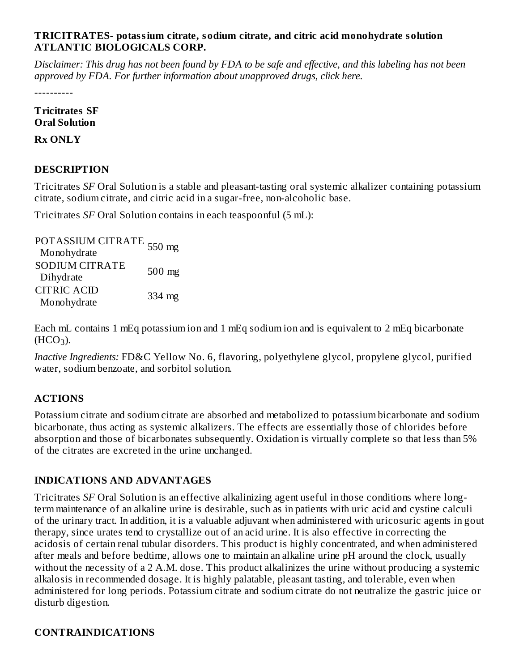#### **TRICITRATES- potassium citrate, sodium citrate, and citric acid monohydrate solution ATLANTIC BIOLOGICALS CORP.**

Disclaimer: This drug has not been found by FDA to be safe and effective, and this labeling has not been *approved by FDA. For further information about unapproved drugs, click here.*

----------

#### **Tricitrates SF Oral Solution**

**Rx ONLY**

# **DESCRIPTION**

Tricitrates *SF* Oral Solution is a stable and pleasant-tasting oral systemic alkalizer containing potassium citrate, sodium citrate, and citric acid in a sugar-free, non-alcoholic base.

Tricitrates *SF* Oral Solution contains in each teaspoonful (5 mL):

POTASSIUM CITRATE<br>Morehydrate Monohydrate SODIUM CITRATE Dihydrate 500 mg CITRIC ACID Monohydrate 334 mg

Each mL contains 1 mEq potassium ion and 1 mEq sodium ion and is equivalent to 2 mEq bicarbonate  $(HCO<sub>3</sub>)$ .

*Inactive Ingredients:* FD&C Yellow No. 6, flavoring, polyethylene glycol, propylene glycol, purified water, sodium benzoate, and sorbitol solution.

# **ACTIONS**

Potassium citrate and sodium citrate are absorbed and metabolized to potassium bicarbonate and sodium bicarbonate, thus acting as systemic alkalizers. The effects are essentially those of chlorides before absorption and those of bicarbonates subsequently. Oxidation is virtually complete so that less than 5% of the citrates are excreted in the urine unchanged.

#### **INDICATIONS AND ADVANTAGES**

Tricitrates *SF* Oral Solution is an effective alkalinizing agent useful in those conditions where longterm maintenance of an alkaline urine is desirable, such as in patients with uric acid and cystine calculi of the urinary tract. In addition, it is a valuable adjuvant when administered with uricosuric agents in gout therapy, since urates tend to crystallize out of an acid urine. It is also effective in correcting the acidosis of certain renal tubular disorders. This product is highly concentrated, and when administered after meals and before bedtime, allows one to maintain an alkaline urine pH around the clock, usually without the necessity of a 2 A.M. dose. This product alkalinizes the urine without producing a systemic alkalosis in recommended dosage. It is highly palatable, pleasant tasting, and tolerable, even when administered for long periods. Potassium citrate and sodium citrate do not neutralize the gastric juice or disturb digestion.

#### **CONTRAINDICATIONS**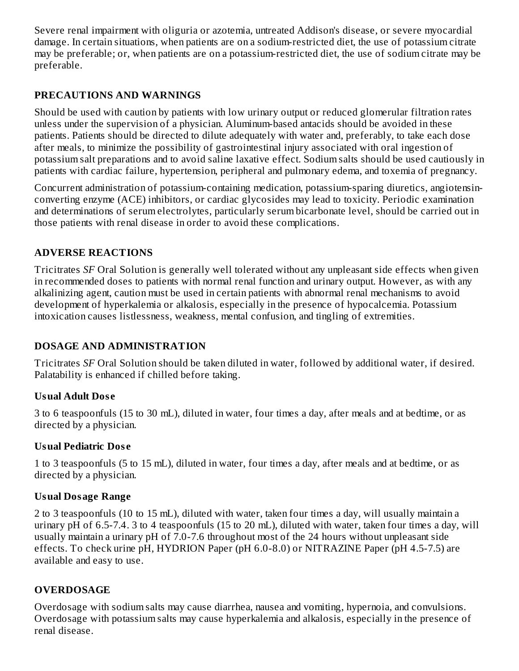Severe renal impairment with oliguria or azotemia, untreated Addison's disease, or severe myocardial damage. In certain situations, when patients are on a sodium-restricted diet, the use of potassium citrate may be preferable; or, when patients are on a potassium-restricted diet, the use of sodium citrate may be preferable.

### **PRECAUTIONS AND WARNINGS**

Should be used with caution by patients with low urinary output or reduced glomerular filtration rates unless under the supervision of a physician. Aluminum-based antacids should be avoided in these patients. Patients should be directed to dilute adequately with water and, preferably, to take each dose after meals, to minimize the possibility of gastrointestinal injury associated with oral ingestion of potassium salt preparations and to avoid saline laxative effect. Sodium salts should be used cautiously in patients with cardiac failure, hypertension, peripheral and pulmonary edema, and toxemia of pregnancy.

Concurrent administration of potassium-containing medication, potassium-sparing diuretics, angiotensinconverting enzyme (ACE) inhibitors, or cardiac glycosides may lead to toxicity. Periodic examination and determinations of serum electrolytes, particularly serum bicarbonate level, should be carried out in those patients with renal disease in order to avoid these complications.

# **ADVERSE REACTIONS**

Tricitrates *SF* Oral Solution is generally well tolerated without any unpleasant side effects when given in recommended doses to patients with normal renal function and urinary output. However, as with any alkalinizing agent, caution must be used in certain patients with abnormal renal mechanisms to avoid development of hyperkalemia or alkalosis, especially in the presence of hypocalcemia. Potassium intoxication causes listlessness, weakness, mental confusion, and tingling of extremities.

#### **DOSAGE AND ADMINISTRATION**

Tricitrates *SF* Oral Solution should be taken diluted in water, followed by additional water, if desired. Palatability is enhanced if chilled before taking.

#### **Usual Adult Dos e**

3 to 6 teaspoonfuls (15 to 30 mL), diluted in water, four times a day, after meals and at bedtime, or as directed by a physician.

#### **Usual Pediatric Dos e**

1 to 3 teaspoonfuls (5 to 15 mL), diluted in water, four times a day, after meals and at bedtime, or as directed by a physician.

#### **Usual Dosage Range**

2 to 3 teaspoonfuls (10 to 15 mL), diluted with water, taken four times a day, will usually maintain a urinary pH of 6.5-7.4. 3 to 4 teaspoonfuls (15 to 20 mL), diluted with water, taken four times a day, will usually maintain a urinary pH of 7.0-7.6 throughout most of the 24 hours without unpleasant side effects. To check urine pH, HYDRION Paper (pH 6.0-8.0) or NITRAZINE Paper (pH 4.5-7.5) are available and easy to use.

# **OVERDOSAGE**

Overdosage with sodium salts may cause diarrhea, nausea and vomiting, hypernoia, and convulsions. Overdosage with potassium salts may cause hyperkalemia and alkalosis, especially in the presence of renal disease.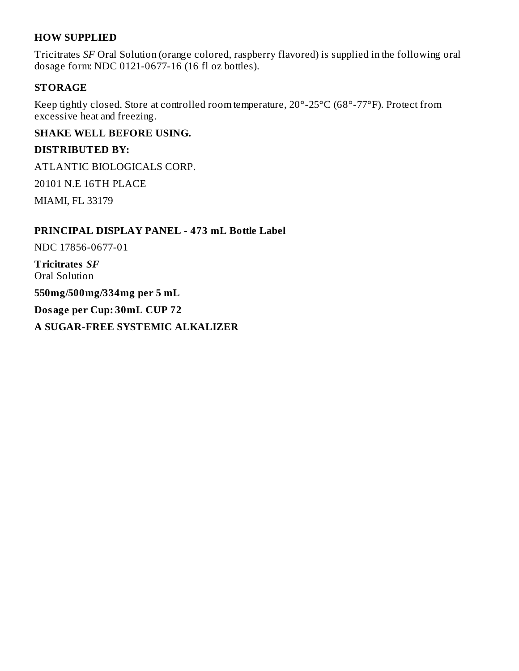#### **HOW SUPPLIED**

Tricitrates *SF* Oral Solution (orange colored, raspberry flavored) is supplied in the following oral dosage form: NDC 0121-0677-16 (16 fl oz bottles).

#### **STORAGE**

Keep tightly closed. Store at controlled room temperature, 20°-25°C (68°-77°F). Protect from excessive heat and freezing.

#### **SHAKE WELL BEFORE USING.**

#### **DISTRIBUTED BY:**

ATLANTIC BIOLOGICALS CORP.

20101 N.E 16TH PLACE

MIAMI, FL 33179

#### **PRINCIPAL DISPLAY PANEL - 473 mL Bottle Label**

NDC 17856-0677-01

**Tricitrates** *SF* Oral Solution

**550mg/500mg/334mg per 5 mL**

**Dosage per Cup: 30mL CUP 72**

**A SUGAR-FREE SYSTEMIC ALKALIZER**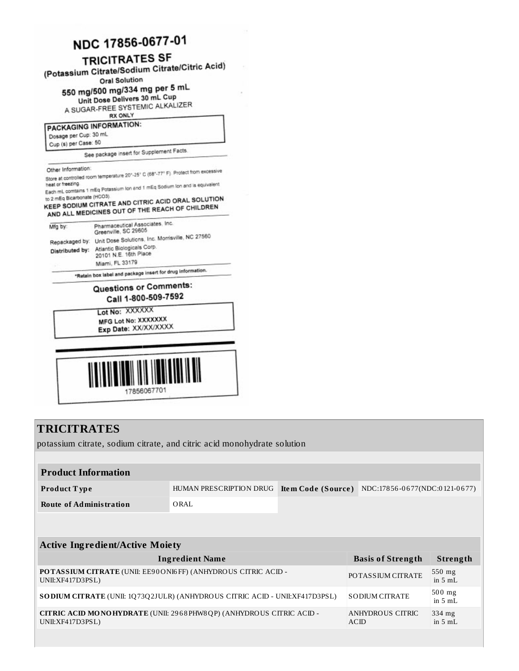# NDC 17856-0677-01

# **TRICITRATES SF**

(Potassium Citrate/Sodium Citrate/Citric Acid)

**Oral Solution** 

550 mg/500 mg/334 mg per 5 mL

Unit Dose Delivers 30 mL Cup A SUGAR-FREE SYSTEMIC ALKALIZER

**RX ONLY** 

PACKAGING INFORMATION:

Dosage per Cup: 30 mL

Cup (s) per Case: 50

See package insert for Supplement Facts.

Store at controlled room temperature 20°-25" C (68°-77° F). Protect from excessive

...<br>Each mL comtains 1 mEq Potassium lon and 1 mEq Sodium lon and is equivalent to 2 mEq Bicarbonate (HCO3).

KEEP SODIUM CITRATE AND CITRIC ACID ORAL SOLUTION AND ALL MEDICINES OUT OF THE REACH OF CHILDREN

| Mfg by:         | Pharmaceutical Associates, Inc.<br>Greenville, SC 29605                                                                                  |
|-----------------|------------------------------------------------------------------------------------------------------------------------------------------|
| Distributed by: | Repackaged by: Unit Dose Solutions, Inc. Morrisville, NC 27560<br>Atlantic Biologicals Corp.<br>20101 N.E. 16th Place<br>Miami, FL 33179 |

\*Retain box label and package insert for drug information.

### Questions or Comments: Call 1-800-509-7592

Lot No: XXXXXX MFG Lot No: XXXXXXX Exp Date: XX/XX/XXXX



# **TRICITRATES**

potassium citrate, sodium citrate, and citric acid monohydrate solution

| <b>Product Information</b> |                         |                                                         |
|----------------------------|-------------------------|---------------------------------------------------------|
| <b>Product Type</b>        | HUMAN PRESCRIPTION DRUG | <b>Item Code (Source)</b> NDC:17856-0677(NDC:0121-0677) |
| Route of Administration    | ORAL                    |                                                         |
|                            |                         |                                                         |

| <b>Active Ingredient/Active Moiety</b>                                                  |                          |                               |  |  |
|-----------------------------------------------------------------------------------------|--------------------------|-------------------------------|--|--|
| <b>Ingredient Name</b>                                                                  | <b>Basis of Strength</b> | Strength                      |  |  |
| POTASSIUM CITRATE (UNII: EE90ONI6FF) (ANHYDROUS CITRIC ACID -<br>UNII:XF417D3PSL)       | POTAS SIUM CITRATE       | $550$ mg<br>in $5mL$          |  |  |
| <b>SODIUM CITRATE</b> (UNII: 1Q73Q2JULR) (ANHYDROUS CITRIC ACID - UNII:XF417D3PSL)      | <b>SODIUM CITRATE</b>    | $500$ mg<br>in $5 \text{ mL}$ |  |  |
| CITRIC ACID MONOHYDRATE (UNII: 2968PHW8QP) (ANHYDROUS CITRIC ACID -<br>UNII:XF417D3PSL) | ANHYDROUS CITRIC<br>ACID | 334 mg<br>in $5mL$            |  |  |